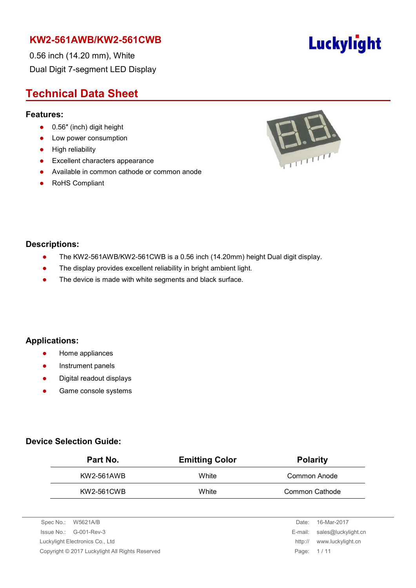0.56 inch (14.20 mm), White Dual Digit 7-segment LED Display

### **Technical Data Sheet**

#### **Features:**

- 0.56" (inch) digit height
- Low power consumption
- **•** High reliability
- **•** Excellent characters appearance
- Available in common cathode or common anode
- RoHS Compliant



#### **Descriptions:**

- The KW2-561AWB/KW2-561CWB is a 0.56 inch (14.20mm) height Dual digit display.
- The display provides excellent reliability in bright ambient light.
- The device is made with white segments and black surface.

#### **Applications:**

- **•** Home appliances
- **•** Instrument panels
- Digital readout displays
- **•** Game console systems

#### **Device Selection Guide:**

| Part No.   | <b>Emitting Color</b> | <b>Polarity</b> |
|------------|-----------------------|-----------------|
| KW2-561AWB | White                 | Common Anode    |
| KW2-561CWB | White                 | Common Cathode  |

| Spec No.: W5621A/B                              | Date:      | 16-Mar-2017                 |
|-------------------------------------------------|------------|-----------------------------|
| $\ssue No.: \qquad G-001-Rev-3$                 |            | E-mail: sales@luckylight.cn |
| Luckylight Electronics Co., Ltd                 | http://    | www.luckylight.cn           |
| Copyright © 2017 Luckylight All Rights Reserved | Page: 1/11 |                             |
|                                                 |            |                             |

# Luckylight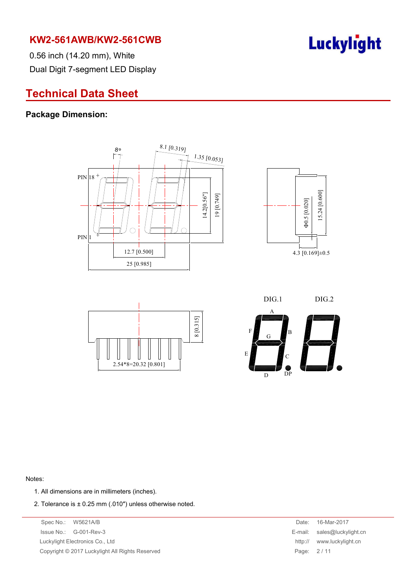

0.56 inch (14.20 mm), White Dual Digit 7-segment LED Display

### **Technical Data Sheet**

#### **Package Dimension:**









#### Notes:

- 1. All dimensions are in millimeters (inches).
- 2. Tolerance is ± 0.25 mm (.010″) unless otherwise noted.

Spec No.: W5621A/B Date: 16-Mar-2017 Issue No.: G-001-Rev-3 Luckylight Electronics Co., Ltd. Copyright © 2017 Luckylight All Rights Reserved

| Date:   | 16-Mar-2017         |
|---------|---------------------|
| E-mail: | sales@luckylight.cn |
| http:// | www.luckylight.cn   |
| Page:   | 2/11                |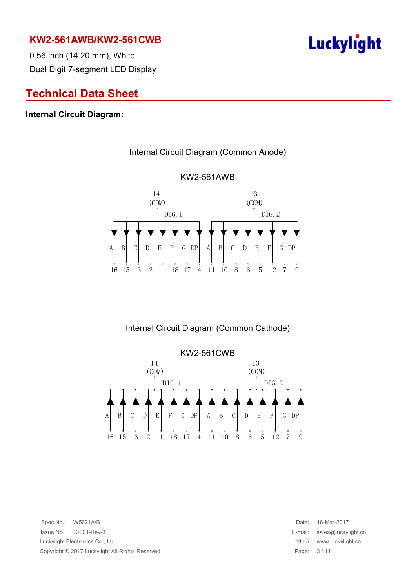

0.56 inch (14.20 mm), White Dual Digit 7-segment LED Display

### **Technical Data Sheet**

#### **Internal Circuit Diagram:**



## KW2-561AWB

Internal Circuit Diagram (Common Anode)

Internal Circuit Diagram (Common Cathode)



Spec No.: W5621A/B Date: 16-Mar-2017 Issue No.: G-001-Rev-3 E-mail: sales@luckylight.cn Luckylight Electronics Co., Ltd http:// www.luckylight.cn Copyright © 2017 Luckylight All Rights Reserved **Page: 3 / 11** Page: 3 / 11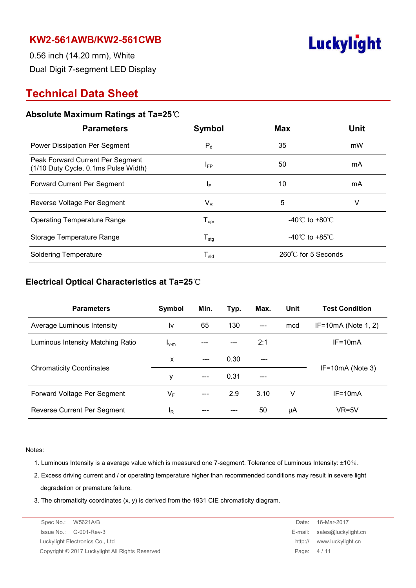

0.56 inch (14.20 mm), White Dual Digit 7-segment LED Display

### **Technical Data Sheet**

#### **Absolute Maximum Ratings at Ta=25**℃

| <b>Parameters</b>                                                        | Symbol                       | <b>Max</b>                         | Unit |  |
|--------------------------------------------------------------------------|------------------------------|------------------------------------|------|--|
| Power Dissipation Per Segment                                            | $P_d$                        | 35<br>mW                           |      |  |
| Peak Forward Current Per Segment<br>(1/10 Duty Cycle, 0.1ms Pulse Width) | <b>IFP</b>                   | 50                                 | mA   |  |
| <b>Forward Current Per Segment</b>                                       | IF.                          | 10                                 | mA   |  |
| Reverse Voltage Per Segment                                              | $V_{R}$                      | 5<br>V                             |      |  |
| <b>Operating Temperature Range</b>                                       | ${\mathsf T}_{\textsf{opr}}$ | -40 $\degree$ C to +80 $\degree$ C |      |  |
| Storage Temperature Range                                                | ${\mathsf T}_{\text{stg}}$   | -40 $\degree$ C to +85 $\degree$ C |      |  |
| <b>Soldering Temperature</b>                                             | ${\mathsf T}_{\textsf{sld}}$ | 260℃ for 5 Seconds                 |      |  |

#### **Electrical Optical Characteristics at Ta=25**℃

| <b>Parameters</b>                 | Symbol    | Min. | Typ. | Max.  | Unit | <b>Test Condition</b> |  |
|-----------------------------------|-----------|------|------|-------|------|-----------------------|--|
| Average Luminous Intensity        | l٧        | 65   | 130  | $---$ | mcd  | $IF=10mA$ (Note 1, 2) |  |
| Luminous Intensity Matching Ratio | $I_{V-M}$ |      |      | 2:1   |      | $IF = 10mA$           |  |
|                                   | X         |      | 0.30 |       |      |                       |  |
| <b>Chromaticity Coordinates</b>   | у         |      | 0.31 | ---   |      | $IF=10mA$ (Note 3)    |  |
| Forward Voltage Per Segment       | VF        | ---  | 2.9  | 3.10  | v    | $IF = 10mA$           |  |
| Reverse Current Per Segment       | ΙŖ        |      |      | 50    | μA   | $VR=5V$               |  |

Notes:

- 1. Luminous Intensity is a average value which is measured one 7-segment. Tolerance of Luminous Intensity: ±10%.
- 2. Excess driving current and / or operating temperature higher than recommended conditions may result in severe light degradation or premature failure.
- 3. The chromaticity coordinates (x, y) is derived from the 1931 CIE chromaticity diagram.

| Spec No.: W5621A/B                              | Date:   | 16-Mar-2017                 |
|-------------------------------------------------|---------|-----------------------------|
| $\ssue No.: \, G-001-Rev-3$                     |         | E-mail: sales@luckylight.cn |
| Luckylight Electronics Co., Ltd                 | http:// | www.luckylight.cn           |
| Copyright © 2017 Luckylight All Rights Reserved |         | Page: 4/11                  |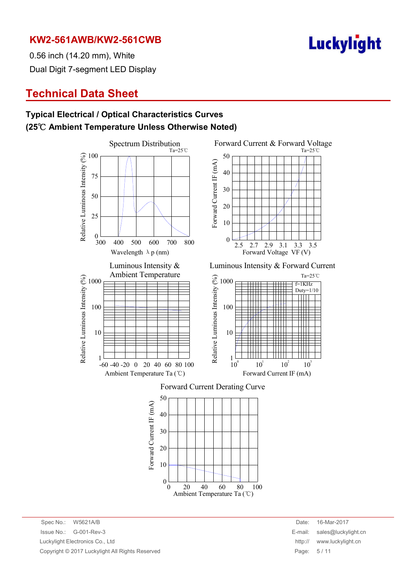

0.56 inch (14.20 mm), White Dual Digit 7-segment LED Display

### **Technical Data Sheet**

#### **Typical Electrical / Optical Characteristics Curves (25**℃ **Ambient Temperature Unless Otherwise Noted)**



Spec No.: W5621A/B Date: 16-Mar-2017 Issue No.: G-001-Rev-3 E-mail: sales@luckylight.cn Luckylight Electronics Co., Ltd http:// www.luckylight.cn Copyright © 2017 Luckylight All Rights Reserved **Page: 5 / 11** Page: 5 / 11

 $10^3$ 

 $=1$ KHz Duty=1/10

Ta=25℃

Ta=25℃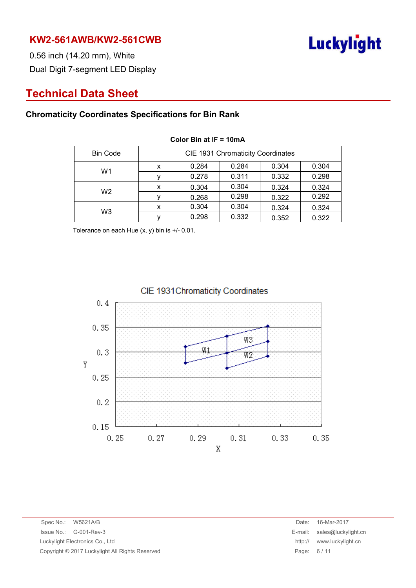

0.56 inch (14.20 mm), White Dual Digit 7-segment LED Display

### **Technical Data Sheet**

#### **Chromaticity Coordinates Specifications for Bin Rank**

| <b>Bin Code</b> | CIE 1931 Chromaticity Coordinates |       |       |       |       |
|-----------------|-----------------------------------|-------|-------|-------|-------|
| W <sub>1</sub>  | x                                 | 0.284 | 0.284 | 0.304 | 0.304 |
|                 |                                   | 0.278 | 0.311 | 0.332 | 0.298 |
| W <sub>2</sub>  | x                                 | 0.304 | 0.304 | 0.324 | 0.324 |
|                 |                                   | 0.268 | 0.298 | 0.322 | 0.292 |
| W <sub>3</sub>  | x                                 | 0.304 | 0.304 | 0.324 | 0.324 |
|                 |                                   | 0.298 | 0.332 | 0.352 | 0.322 |

**Color Bin at IF = 10mA**

Tolerance on each Hue (x, y) bin is +/- 0.01.



#### CIE 1931 Chromaticity Coordinates

Spec No.: W5621A/B Date: 16-Mar-2017 Issue No.: G-001-Rev-3 E-mail: sales@luckylight.cn Luckylight Electronics Co., Ltd **http:// www.luckylight.cn** Copyright © 2017 Luckylight All Rights Reserved Page: 6 / 11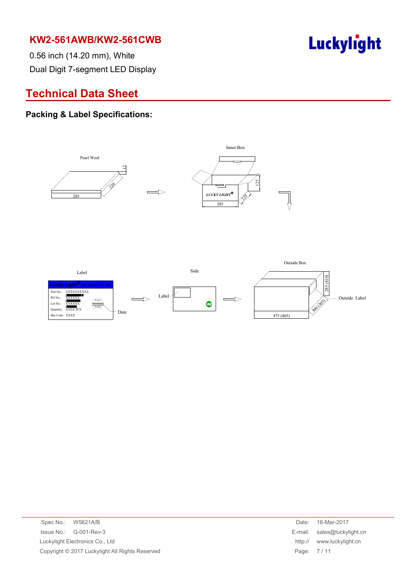

0.56 inch (14.20 mm), White Dual Digit 7-segment LED Display

### **Technical Data Sheet**

#### **Packing & Label Specifications:**



| E-mail: sales@luckylight.cn |
|-----------------------------|
|                             |
|                             |
|                             |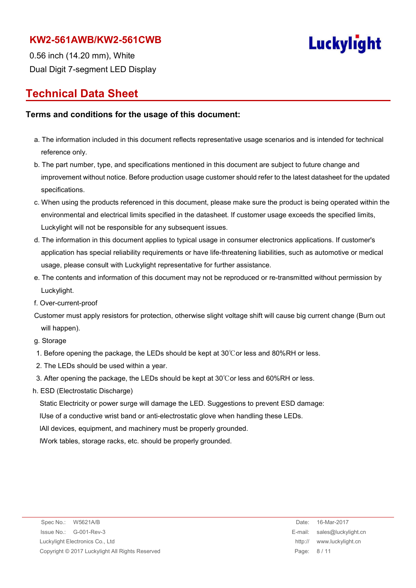

0.56 inch (14.20 mm), White Dual Digit 7-segment LED Display

### **Technical Data Sheet**

#### **Terms and conditions for the usage of this document:**

- a. The information included in this document reflects representative usage scenarios and is intended for technical reference only.
- b. The part number, type, and specifications mentioned in this document are subject to future change and improvement without notice. Before production usage customer should refer to the latest datasheet for the updated specifications.
- c. When using the products referenced in this document, please make sure the product is being operated within the environmental and electrical limits specified in the datasheet. If customer usage exceeds the specified limits, Luckylight will not be responsible for any subsequent issues.
- d. The information in this document applies to typical usage in consumer electronics applications. If customer's application has special reliability requirements or have life-threatening liabilities, such as automotive or medical usage, please consult with Luckylight representative for further assistance.
- e. The contents and information of this document may not be reproduced or re-transmitted without permission by Luckylight.
- f. Over-current-proof
- Customer must apply resistors for protection, otherwise slight voltage shift will cause big current change (Burn out will happen).
- g. Storage
- 1. Before opening the package, the LEDs should be kept at 30℃or less and 80%RH or less.
- 2. The LEDs should be used within a year.
- 3. After opening the package, the LEDs should be kept at 30℃or less and 60%RH or less.
- h. ESD (Electrostatic Discharge)

Static Electricity or power surge will damage the LED. Suggestions to prevent ESD damage:

lUse of a conductive wrist band or anti-electrostatic glove when handling these LEDs.

lAll devices, equipment, and machinery must be properly grounded.

lWork tables, storage racks, etc. should be properly grounded.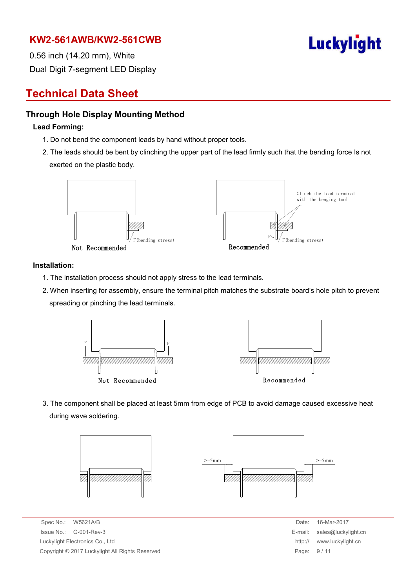

0.56 inch (14.20 mm), White Dual Digit 7-segment LED Display

### **Technical Data Sheet**

#### **Through Hole Display Mounting Method**

#### **Lead Forming:**

- 1. Do not bend the component leads by hand without proper tools.
- 2. The leads should be bent by clinching the upper part of the lead firmly such that the bending force Is not exerted on the plastic body.



#### **Installation:**

- 1. The installation process should not apply stress to the lead terminals.
- 2. When inserting for assembly, ensure the terminal pitch matches the substrate board's hole pitch to prevent spreading or pinching the lead terminals.



3. The component shall be placed at least 5mm from edge of PCB to avoid damage caused excessive heat during wave soldering.



Spec No.: W5621A/B Date: 16-Mar-2017  $Is sue No.: G-001-Rev-3$ Luckylight Electronics Co., Ltd. Copyright © 2017 Luckylight All Rights Reserved

| Date:   | 16-Mar-2017         |
|---------|---------------------|
| E-mail: | sales@luckylight.cn |
| http:// | www.luckylight.cn   |
| Page:   | 9/11                |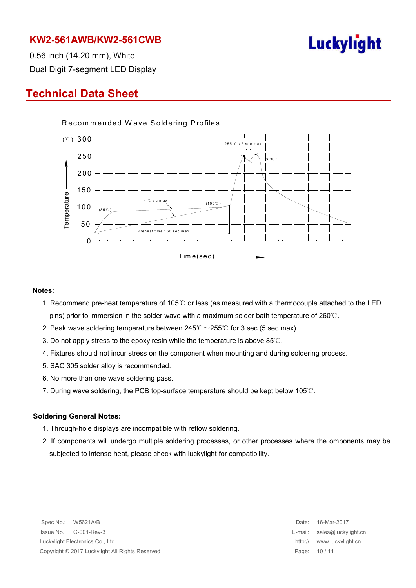

0.56 inch (14.20 mm), White Dual Digit 7-segment LED Display

### **Technical Data Sheet**



#### **Notes:**

- 1. Recommend pre-heat temperature of 105℃ or less (as measured with a thermocouple attached to the LED pins) prior to immersion in the solder wave with a maximum solder bath temperature of 260℃.
- 2. Peak wave soldering temperature between  $245^{\circ}\text{C} \sim 255^{\circ}\text{C}$  for 3 sec (5 sec max).
- 3. Do not apply stress to the epoxy resin while the temperature is above 85℃.
- 4. Fixtures should not incur stress on the component when mounting and during soldering process.
- 5. SAC 305 solder alloy is recommended.
- 6. No more than one wave soldering pass.
- 7. During wave soldering, the PCB top-surface temperature should be kept below 105℃.

#### **Soldering General Notes:**

- 1. Through-hole displays are incompatible with reflow soldering.
- 2. If components will undergo multiple soldering processes, or other processes where the omponents may be subjected to intense heat, please check with luckylight for compatibility.